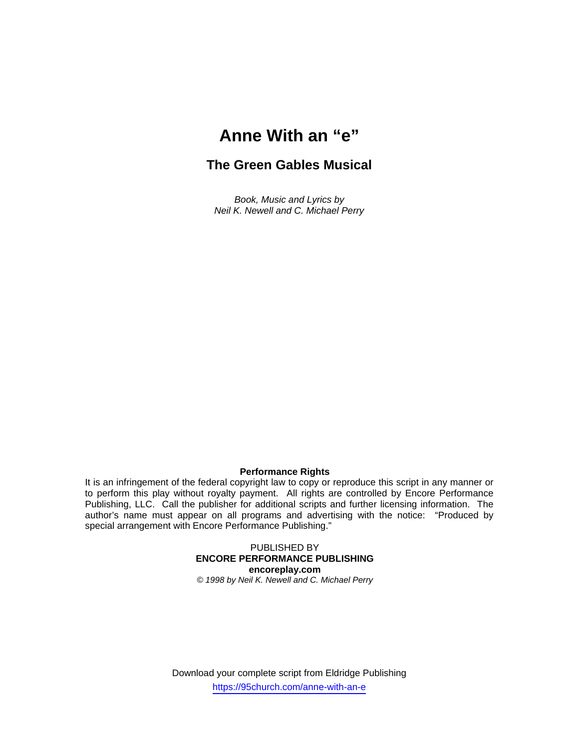# **Anne With an "e"**

## **The Green Gables Musical**

*Book, Music and Lyrics by Neil K. Newell and C. Michael Perry* 

### **Performance Rights**

It is an infringement of the federal copyright law to copy or reproduce this script in any manner or to perform this play without royalty payment. All rights are controlled by Encore Performance Publishing, LLC. Call the publisher for additional scripts and further licensing information. The author's name must appear on all programs and advertising with the notice: "Produced by special arrangement with Encore Performance Publishing."

> PUBLISHED BY **ENCORE PERFORMANCE PUBLISHING encoreplay.com**  *© 1998 by Neil K. Newell and C. Michael Perry*

Download your complete script from Eldridge Publishing https://95church.com/anne-with-an-e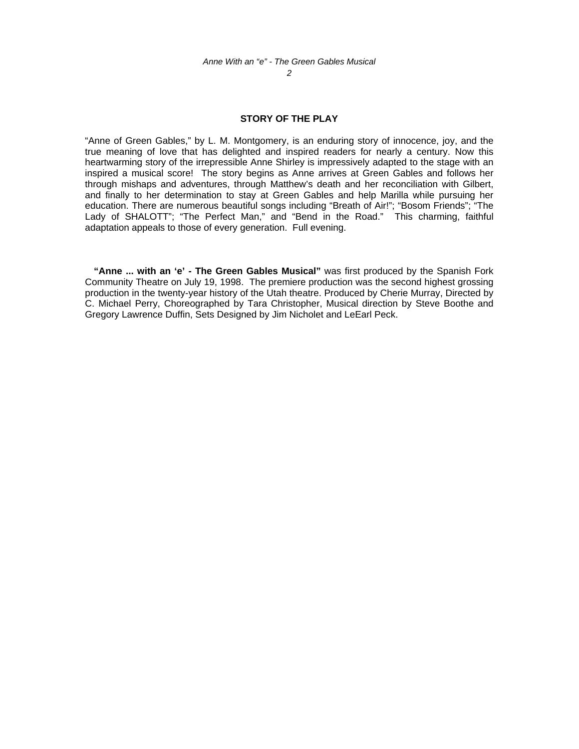#### *2*

### **STORY OF THE PLAY**

"Anne of Green Gables," by L. M. Montgomery, is an enduring story of innocence, joy, and the true meaning of love that has delighted and inspired readers for nearly a century. Now this heartwarming story of the irrepressible Anne Shirley is impressively adapted to the stage with an inspired a musical score! The story begins as Anne arrives at Green Gables and follows her through mishaps and adventures, through Matthew's death and her reconciliation with Gilbert, and finally to her determination to stay at Green Gables and help Marilla while pursuing her education. There are numerous beautiful songs including "Breath of Air!"; "Bosom Friends"; "The Lady of SHALOTT"; "The Perfect Man," and "Bend in the Road." This charming, faithful adaptation appeals to those of every generation. Full evening.

**"Anne ... with an 'e' - The Green Gables Musical"** was first produced by the Spanish Fork Community Theatre on July 19, 1998. The premiere production was the second highest grossing production in the twenty-year history of the Utah theatre. Produced by Cherie Murray, Directed by C. Michael Perry, Choreographed by Tara Christopher, Musical direction by Steve Boothe and Gregory Lawrence Duffin, Sets Designed by Jim Nicholet and LeEarl Peck.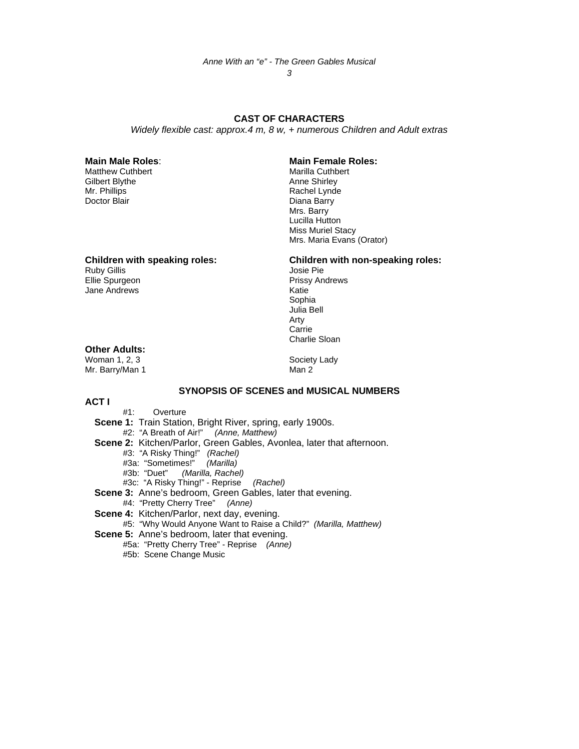*Anne With an "e" - The Green Gables Musical* 

*3* 

### **CAST OF CHARACTERS**

*Widely flexible cast: approx.4 m, 8 w, + numerous Children and Adult extras* 

Matthew Cuthbert Matthew Cuthbert Matthew Cuthbert Matthew Cuthbert Matthew Cuthbert Matthew Matthew Matthew M<br>
Anne Shirley Gilbert Blythe Mr. Phillips Rachel Lynde

# **Main Male Roles**: **Main Female Roles:**

Diana Barry Mrs. Barry Lucilla Hutton Miss Muriel Stacy Mrs. Maria Evans (Orator)

Ruby Gillis<br>Ellie Spurgeon Jane Andrews **Katie** 

# **Children with speaking roles:** Children with non-speaking roles:<br>Ruby Gillis discription of the solution of the state Pie

Prissy Andrews in the contract of the contract of the contract of the Sophia Sophia Julia Bell Arty **Carrie Carrie Carrie Carrie Carrie Carrie Carrie Carrie Carrie Carrie Carrie Carrie Carrie Carrie Carrie Carrie Carrie Carrie Carrie Carrie Carrie Carrie Carrie Carrie Carrie Carrie Carrie Carrie Carrie Carrie Carrie Carr** Charlie Sloan

### **Other Adults:**

Woman 1, 2, 3 Society Lady Mr. Barry/Man 1 Man 2

### **SYNOPSIS OF SCENES and MUSICAL NUMBERS**

**ACT I**

- #1: Overture
- **Scene 1:** Train Station, Bright River, spring, early 1900s. #2: "A Breath of Air!" *(Anne, Matthew)*
- **Scene 2:** Kitchen/Parlor, Green Gables, Avonlea, later that afternoon.
	- #3: "A Risky Thing!" *(Rachel)*
- #3a: "Sometimes!" *(Marilla)*
	- #3b: "Duet" *(Marilla, Rachel)*
	- #3c: "A Risky Thing!" Reprise *(Rachel)*
- **Scene 3:** Anne's bedroom, Green Gables, later that evening.
	- #4: "Pretty Cherry Tree" *(Anne)*
- **Scene 4:** Kitchen/Parlor, next day, evening.
	- #5: "Why Would Anyone Want to Raise a Child?" *(Marilla, Matthew)*
- **Scene 5:** Anne's bedroom, later that evening.
	- #5a: "Pretty Cherry Tree" Reprise *(Anne)*
	- #5b: Scene Change Music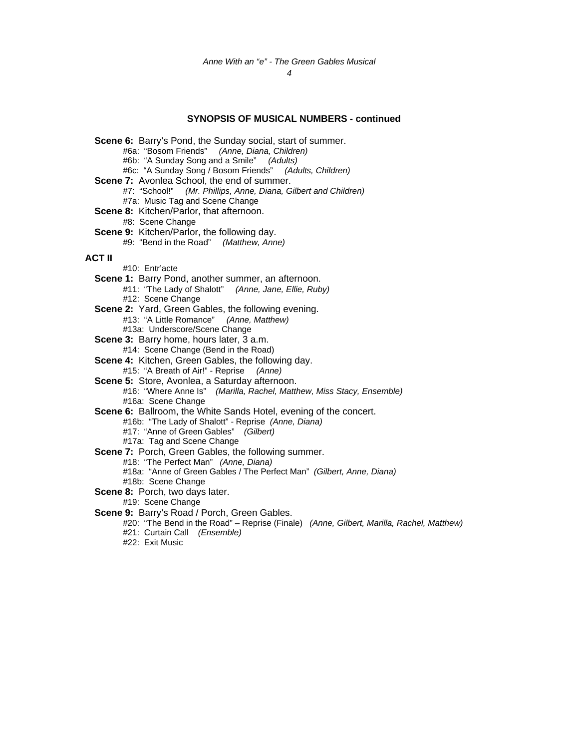*4* 

### **SYNOPSIS OF MUSICAL NUMBERS - continued**

**Scene 6:** Barry's Pond, the Sunday social, start of summer. #6a: "Bosom Friends" *(Anne, Diana, Children)*  #6b: "A Sunday Song and a Smile" *(Adults)* #6c: "A Sunday Song / Bosom Friends" *(Adults, Children)* **Scene 7:** Avonlea School, the end of summer. #7: "School!" *(Mr. Phillips, Anne, Diana, Gilbert and Children)*  #7a: Music Tag and Scene Change **Scene 8:** Kitchen/Parlor, that afternoon. #8: Scene Change **Scene 9:** Kitchen/Parlor, the following day. #9: "Bend in the Road" *(Matthew, Anne)*  **ACT II** #10: Entr'acte **Scene 1:** Barry Pond, another summer, an afternoon. #11: "The Lady of Shalott" *(Anne, Jane, Ellie, Ruby)* #12: Scene Change **Scene 2:** Yard, Green Gables, the following evening. #13: "A Little Romance" *(Anne, Matthew)* #13a: Underscore/Scene Change **Scene 3: Barry home, hours later, 3 a.m.** #14: Scene Change (Bend in the Road) **Scene 4:** Kitchen, Green Gables, the following day. #15: "A Breath of Air!" - Reprise *(Anne)*  **Scene 5:** Store, Avonlea, a Saturday afternoon. #16: "Where Anne Is" *(Marilla, Rachel, Matthew, Miss Stacy, Ensemble)* #16a: Scene Change **Scene 6:** Ballroom, the White Sands Hotel, evening of the concert. #16b: "The Lady of Shalott" *-* Reprise *(Anne, Diana)*  #17: "Anne of Green Gables" *(Gilbert)*  #17a: Tag and Scene Change **Scene 7:** Porch, Green Gables, the following summer. #18: "The Perfect Man" *(Anne, Diana)*  #18a: "Anne of Green Gables / The Perfect Man" *(Gilbert, Anne, Diana)*  #18b: Scene Change **Scene 8:** Porch, two days later. #19: Scene Change **Scene 9:** Barry's Road / Porch, Green Gables. #20: "The Bend in the Road" – Reprise (Finale) *(Anne, Gilbert, Marilla, Rachel, Matthew)* #21: Curtain Call *(Ensemble)*  #22: Exit Music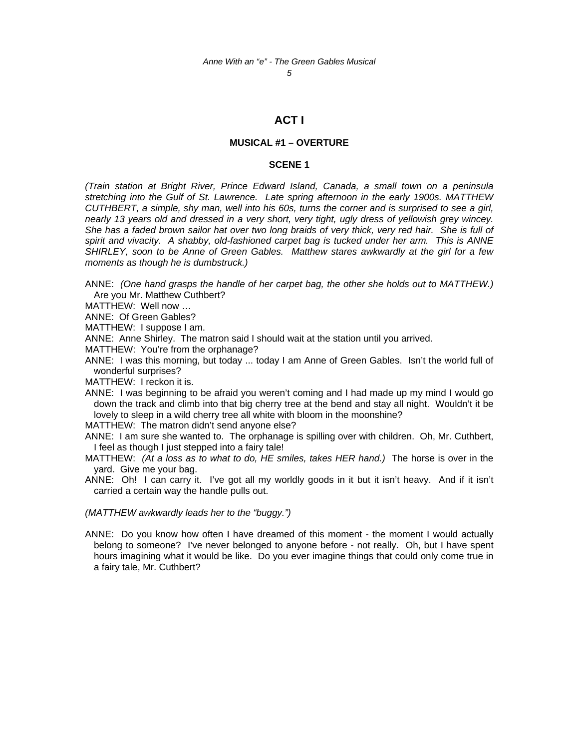*5* 

### **ACT I**

### **MUSICAL #1 – OVERTURE**

### **SCENE 1**

*(Train station at Bright River, Prince Edward Island, Canada, a small town on a peninsula stretching into the Gulf of St. Lawrence. Late spring afternoon in the early 1900s. MATTHEW CUTHBERT, a simple, shy man, well into his 60s, turns the corner and is surprised to see a girl, nearly 13 years old and dressed in a very short, very tight, ugly dress of yellowish grey wincey. She has a faded brown sailor hat over two long braids of very thick, very red hair. She is full of spirit and vivacity. A shabby, old-fashioned carpet bag is tucked under her arm. This is ANNE SHIRLEY, soon to be Anne of Green Gables. Matthew stares awkwardly at the girl for a few moments as though he is dumbstruck.)* 

ANNE: *(One hand grasps the handle of her carpet bag, the other she holds out to MATTHEW.)*  Are you Mr. Matthew Cuthbert?

MATTHEW: Well now …

ANNE: Of Green Gables?

MATTHEW: I suppose I am.

ANNE: Anne Shirley. The matron said I should wait at the station until you arrived.

- MATTHEW: You're from the orphanage?
- ANNE: I was this morning, but today ... today I am Anne of Green Gables. Isn't the world full of wonderful surprises?

MATTHEW: I reckon it is.

ANNE: I was beginning to be afraid you weren't coming and I had made up my mind I would go down the track and climb into that big cherry tree at the bend and stay all night. Wouldn't it be lovely to sleep in a wild cherry tree all white with bloom in the moonshine?

MATTHEW: The matron didn't send anyone else?

ANNE: I am sure she wanted to. The orphanage is spilling over with children. Oh, Mr. Cuthbert, I feel as though I just stepped into a fairy tale!

- MATTHEW: *(At a loss as to what to do, HE smiles, takes HER hand.)* The horse is over in the yard. Give me your bag.
- ANNE: Oh! I can carry it. I've got all my worldly goods in it but it isn't heavy. And if it isn't carried a certain way the handle pulls out.

*(MATTHEW awkwardly leads her to the "buggy.")*

ANNE: Do you know how often I have dreamed of this moment - the moment I would actually belong to someone? I've never belonged to anyone before - not really. Oh, but I have spent hours imagining what it would be like. Do you ever imagine things that could only come true in a fairy tale, Mr. Cuthbert?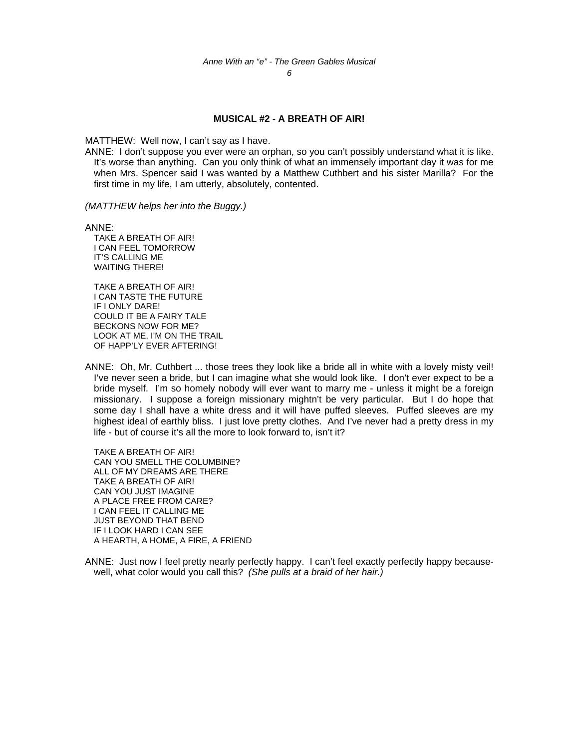### **MUSICAL #2 - A BREATH OF AIR!**

MATTHEW: Well now, I can't say as I have.

ANNE: I don't suppose you ever were an orphan, so you can't possibly understand what it is like. It's worse than anything. Can you only think of what an immensely important day it was for me when Mrs. Spencer said I was wanted by a Matthew Cuthbert and his sister Marilla? For the first time in my life, I am utterly, absolutely, contented.

*(MATTHEW helps her into the Buggy.)*

ANNE:

 TAKE A BREATH OF AIR! I CAN FEEL TOMORROW IT'S CALLING ME WAITING THERE!

 TAKE A BREATH OF AIR! I CAN TASTE THE FUTURE IF I ONLY DARE! COULD IT BE A FAIRY TALE BECKONS NOW FOR ME? LOOK AT ME, I'M ON THE TRAIL OF HAPP'LY EVER AFTERING!

ANNE: Oh, Mr. Cuthbert ... those trees they look like a bride all in white with a lovely misty veil! I've never seen a bride, but I can imagine what she would look like. I don't ever expect to be a bride myself. I'm so homely nobody will ever want to marry me - unless it might be a foreign missionary. I suppose a foreign missionary mightn't be very particular. But I do hope that some day I shall have a white dress and it will have puffed sleeves. Puffed sleeves are my highest ideal of earthly bliss. I just love pretty clothes. And I've never had a pretty dress in my life - but of course it's all the more to look forward to, isn't it?

 TAKE A BREATH OF AIR! CAN YOU SMELL THE COLUMBINE? ALL OF MY DREAMS ARE THERE TAKE A BREATH OF AIR! CAN YOU JUST IMAGINE A PLACE FREE FROM CARE? I CAN FEEL IT CALLING ME JUST BEYOND THAT BEND IF I LOOK HARD I CAN SEE A HEARTH, A HOME, A FIRE, A FRIEND

ANNE: Just now I feel pretty nearly perfectly happy. I can't feel exactly perfectly happy becausewell, what color would you call this? *(She pulls at a braid of her hair.)*